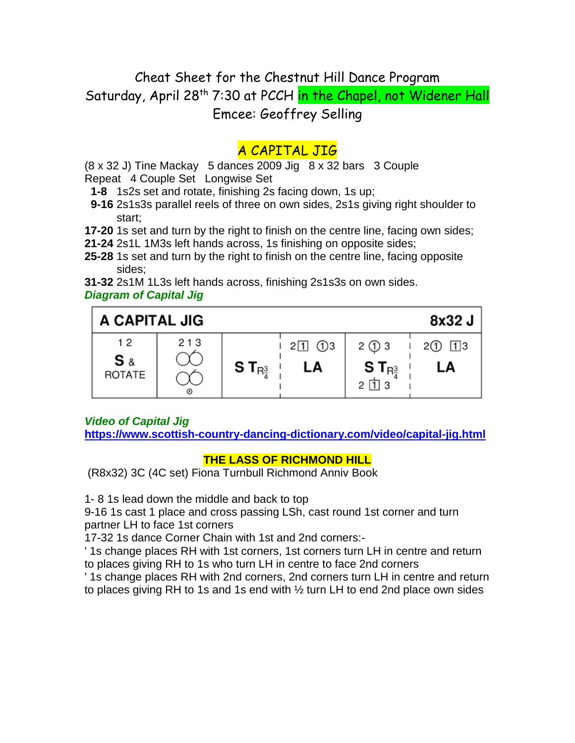# Cheat Sheet for the Chestnut Hill Dance Program Saturday, April 28<sup>th</sup> 7:30 at PCCH in the Chapel, not Widener Hall Emcee: Geoffrey Selling

# A CAPITAL JIG

(8 x 32 J) Tine Mackay 5 dances 2009 Jig 8 x 32 bars 3 Couple

Repeat 4 Couple Set Longwise Set

- **1-8** 1s2s set and rotate, finishing 2s facing down, 1s up;
- **9-16** 2s1s3s parallel reels of three on own sides, 2s1s giving right shoulder to start;
- **17-20** 1s set and turn by the right to finish on the centre line, facing own sides;
- **21-24** 2s1L 1M3s left hands across, 1s finishing on opposite sides;
- **25-28** 1s set and turn by the right to finish on the centre line, facing opposite sides;

**31-32** 2s1M 1L3s left hands across, finishing 2s1s3s on own sides.

## *Diagram of Capital Jig*



# *Video of Capital Jig*

**<https://www.scottish-country-dancing-dictionary.com/video/capital-jig.html>**

# **THE LASS OF RICHMOND HILL**

(R8x32) 3C (4C set) Fiona Turnbull Richmond Anniv Book

1- 8 1s lead down the middle and back to top

9-16 1s cast 1 place and cross passing LSh, cast round 1st corner and turn partner LH to face 1st corners

17-32 1s dance Corner Chain with 1st and 2nd corners:-

' 1s change places RH with 1st corners, 1st corners turn LH in centre and return to places giving RH to 1s who turn LH in centre to face 2nd corners

' 1s change places RH with 2nd corners, 2nd corners turn LH in centre and return to places giving RH to 1s and 1s end with ½ turn LH to end 2nd place own sides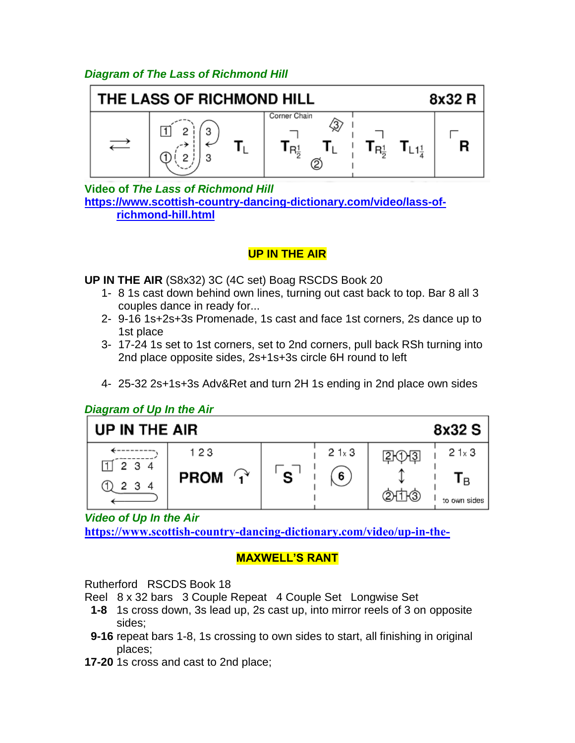## *Diagram of The Lass of Richmond Hill*



**Video of** *The Lass of Richmond Hill* **[https://www.scottish-country-dancing-dictionary.com/video/lass-of](https://www.scottish-country-dancing-dictionary.com/video/lass-of-richmond-hill.html)[richmond-hill.html](https://www.scottish-country-dancing-dictionary.com/video/lass-of-richmond-hill.html)**

## **UP IN THE AIR**

**UP IN THE AIR** (S8x32) 3C (4C set) Boag RSCDS Book 20

- 1- 8 1s cast down behind own lines, turning out cast back to top. Bar 8 all 3 couples dance in ready for...
- 2- 9-16 1s+2s+3s Promenade, 1s cast and face 1st corners, 2s dance up to 1st place
- 3- 17-24 1s set to 1st corners, set to 2nd corners, pull back RSh turning into 2nd place opposite sides, 2s+1s+3s circle 6H round to left
- 4- 25-32 2s+1s+3s Adv&Ret and turn 2H 1s ending in 2nd place own sides

#### *Diagram of Up In the Air*



*Video of Up In the Air <https://www.scottish-country-dancing-dictionary.com/video/up-in-the->*

# **MAXWELL'S RANT**

Rutherford RSCDS Book 18

Reel 8 x 32 bars 3 Couple Repeat 4 Couple Set Longwise Set

- **1-8** 1s cross down, 3s lead up, 2s cast up, into mirror reels of 3 on opposite sides;
- **9-16** repeat bars 1-8, 1s crossing to own sides to start, all finishing in original places;
- **17-20** 1s cross and cast to 2nd place;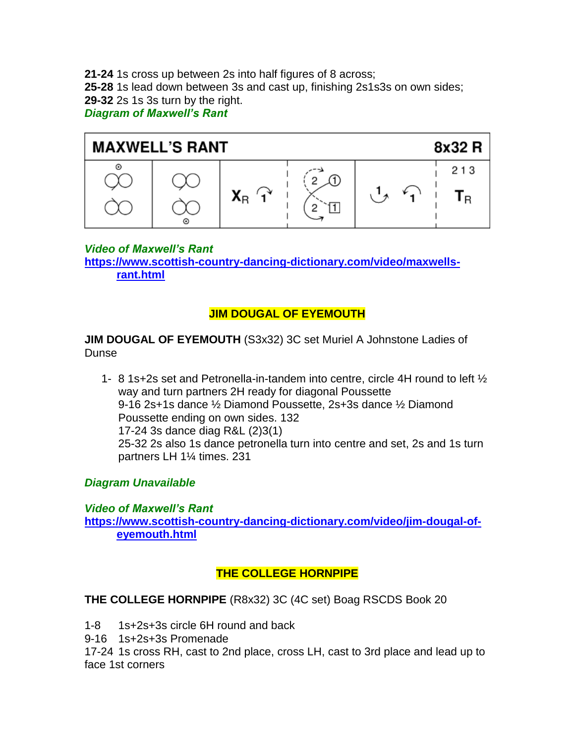**21-24** 1s cross up between 2s into half figures of 8 across;

**25-28** 1s lead down between 3s and cast up, finishing 2s1s3s on own sides;

**29-32** 2s 1s 3s turn by the right.

*Diagram of Maxwell's Rant*



*Video of Maxwell's Rant*

**[https://www.scottish-country-dancing-dictionary.com/video/maxwells](https://www.scottish-country-dancing-dictionary.com/video/maxwells-rant.html)[rant.html](https://www.scottish-country-dancing-dictionary.com/video/maxwells-rant.html)**

## **JIM DOUGAL OF EYEMOUTH**

**JIM DOUGAL OF EYEMOUTH** (S3x32) 3C set Muriel A Johnstone Ladies of Dunse

1- 8 1s+2s set and Petronella-in-tandem into centre, circle 4H round to left ½ way and turn partners 2H ready for diagonal Poussette 9-16 2s+1s dance ½ Diamond Poussette, 2s+3s dance ½ Diamond Poussette ending on own sides. 132 17-24 3s dance diag R&L (2)3(1) 25-32 2s also 1s dance petronella turn into centre and set, 2s and 1s turn partners LH 1¼ times. 231

## *Diagram Unavailable*

*Video of Maxwell's Rant* **[https://www.scottish-country-dancing-dictionary.com/video/jim-dougal-of](https://www.scottish-country-dancing-dictionary.com/video/jim-dougal-of-eyemouth.html)[eyemouth.html](https://www.scottish-country-dancing-dictionary.com/video/jim-dougal-of-eyemouth.html)**

## **THE COLLEGE HORNPIPE**

**THE COLLEGE HORNPIPE** (R8x32) 3C (4C set) Boag RSCDS Book 20

1-8 1s+2s+3s circle 6H round and back

9-16 1s+2s+3s Promenade

17-24 1s cross RH, cast to 2nd place, cross LH, cast to 3rd place and lead up to face 1st corners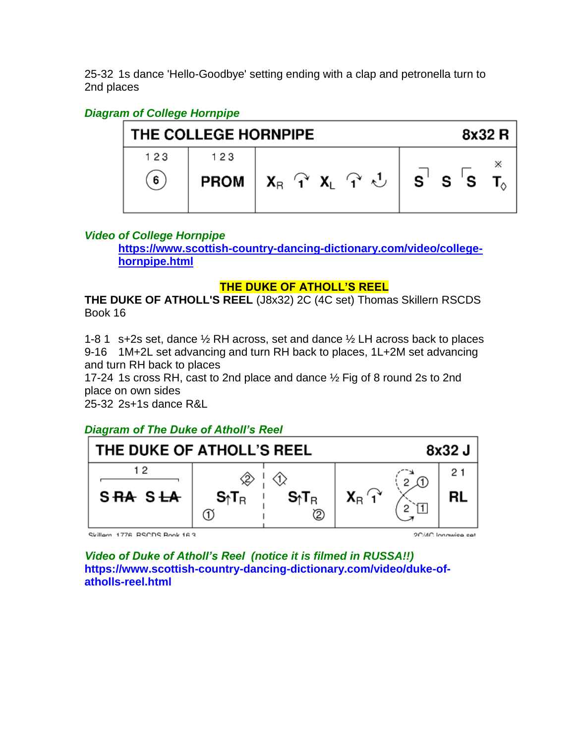25-32 1s dance 'Hello-Goodbye' setting ending with a clap and petronella turn to 2nd places

## *Diagram of College Hornpipe*

| THE COLLEGE HORNPIPE | 8x32 R |                                                                                                                                                                                                 |  |
|----------------------|--------|-------------------------------------------------------------------------------------------------------------------------------------------------------------------------------------------------|--|
| 123                  | 123    |                                                                                                                                                                                                 |  |
| 6 <sup>°</sup>       |        | <b>PROM</b> $\begin{array}{ccc ccc} X_{\mathsf{R}} & Y_{\mathsf{R}} & X_{\mathsf{L}} & Y_{\mathsf{C}} & \mathsf{C} \end{array}$ $\begin{array}{ccc ccc} S & S & S & T_{\mathsf{C}} \end{array}$ |  |

#### *Video of College Hornpipe*

**[https://www.scottish-country-dancing-dictionary.com/video/college](https://www.scottish-country-dancing-dictionary.com/video/college-hornpipe.html)[hornpipe.html](https://www.scottish-country-dancing-dictionary.com/video/college-hornpipe.html)**

#### **THE DUKE OF ATHOLL'S REEL**

**THE DUKE OF ATHOLL'S REEL** (J8x32) 2C (4C set) Thomas Skillern RSCDS Book 16

1-8 1 s+2s set, dance ½ RH across, set and dance ½ LH across back to places 9-16 1M+2L set advancing and turn RH back to places, 1L+2M set advancing and turn RH back to places

17-24 1s cross RH, cast to 2nd place and dance ½ Fig of 8 round 2s to 2nd place on own sides

25-32 2s+1s dance R&L

*Diagram of The Duke of Atholl's Reel*



Skillam 1776 RSCDS Rook 16.3

2C/AC Innovice cet

*Video of Duke of Atholl's Reel (notice it is filmed in RUSSA!!)* **https://www.scottish-country-dancing-dictionary.com/video/duke-ofatholls-reel.html**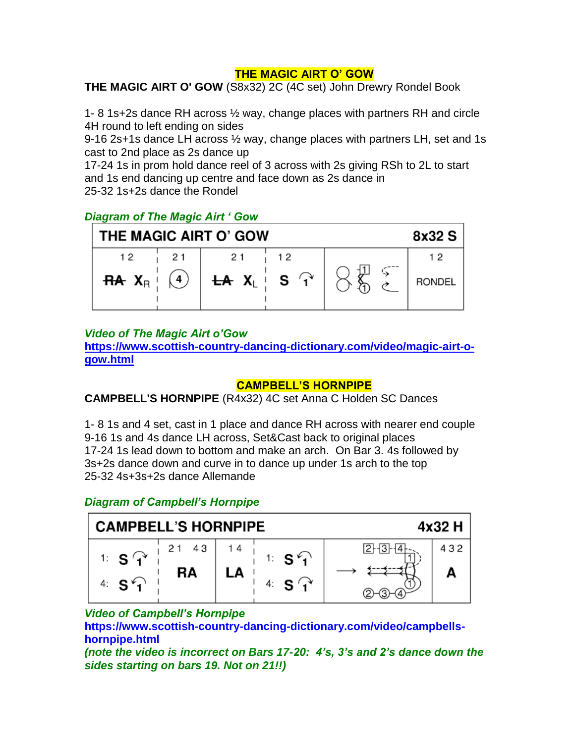#### **THE MAGIC AIRT O' GOW**

**THE MAGIC AIRT O' GOW** (S8x32) 2C (4C set) John Drewry Rondel Book

1- 8 1s+2s dance RH across ½ way, change places with partners RH and circle 4H round to left ending on sides

9-16 2s+1s dance LH across ½ way, change places with partners LH, set and 1s cast to 2nd place as 2s dance up

17-24 1s in prom hold dance reel of 3 across with 2s giving RSh to 2L to start and 1s end dancing up centre and face down as 2s dance in 25-32 1s+2s dance the Rondel

## *Diagram of The Magic Airt ' Gow*

| THE MAGIC AIRT O' GOW | 8x32 S |                                                          |    |  |                     |
|-----------------------|--------|----------------------------------------------------------|----|--|---------------------|
| 12                    | 21     | <b>RA</b> $X_R$ $(4)$ <b>LA</b> $X_L$ <b>S</b> $\hat{A}$ | 12 |  | 12<br><b>RONDEL</b> |

#### *Video of The Magic Airt o'Gow*

**[https://www.scottish-country-dancing-dictionary.com/video/magic-airt-o](https://www.scottish-country-dancing-dictionary.com/video/magic-airt-o-gow.html)[gow.html](https://www.scottish-country-dancing-dictionary.com/video/magic-airt-o-gow.html)**

#### **CAMPBELL'S HORNPIPE**

**CAMPBELL'S HORNPIPE** (R4x32) 4C set Anna C Holden SC Dances

1- 8 1s and 4 set, cast in 1 place and dance RH across with nearer end couple 9-16 1s and 4s dance LH across, Set&Cast back to original places 17-24 1s lead down to bottom and make an arch. On Bar 3. 4s followed by 3s+2s dance down and curve in to dance up under 1s arch to the top 25-32 4s+3s+2s dance Allemande

#### *Diagram of Campbell's Hornpipe*



#### *Video of Campbell's Hornpipe*

**https://www.scottish-country-dancing-dictionary.com/video/campbellshornpipe.html**

*(note the video is incorrect on Bars 17-20: 4's, 3's and 2's dance down the sides starting on bars 19. Not on 21!!)*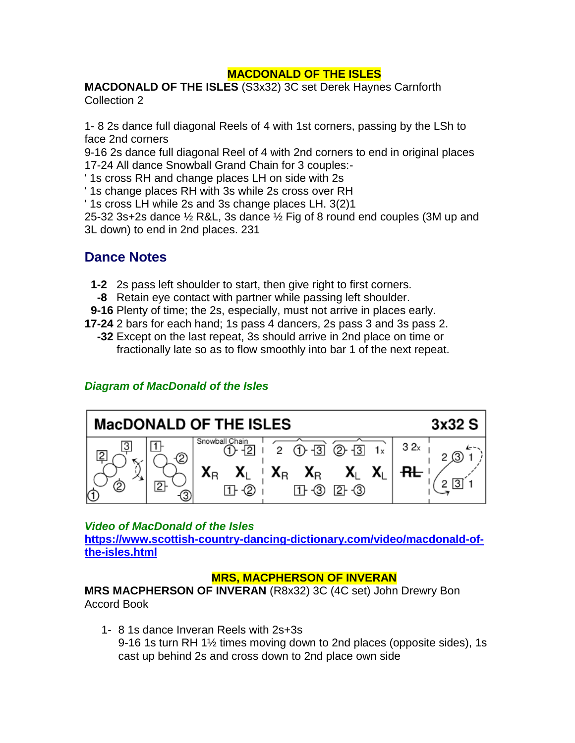#### **MACDONALD OF THE ISLES**

**MACDONALD OF THE ISLES** (S3x32) 3C set Derek Haynes Carnforth Collection 2

1- 8 2s dance full diagonal Reels of 4 with 1st corners, passing by the LSh to face 2nd corners

9-16 2s dance full diagonal Reel of 4 with 2nd corners to end in original places 17-24 All dance Snowball Grand Chain for 3 couples:-

' 1s cross RH and change places LH on side with 2s

' 1s change places RH with 3s while 2s cross over RH

' 1s cross LH while 2s and 3s change places LH. 3(2)1

25-32 3s+2s dance ½ R&L, 3s dance ½ Fig of 8 round end couples (3M up and 3L down) to end in 2nd places. 231

# **Dance Notes**

- **1-2** 2s pass left shoulder to start, then give right to first corners.
- **-8** Retain eye contact with partner while passing left shoulder.
- **9-16** Plenty of time; the 2s, especially, must not arrive in places early.
- **17-24** 2 bars for each hand; 1s pass 4 dancers, 2s pass 3 and 3s pass 2.
	- **-32** Except on the last repeat, 3s should arrive in 2nd place on time or fractionally late so as to flow smoothly into bar 1 of the next repeat.

#### *Diagram of MacDonald of the Isles*



#### *Video of MacDonald of the Isles*

**[https://www.scottish-country-dancing-dictionary.com/video/macdonald-of](https://www.scottish-country-dancing-dictionary.com/video/macdonald-of-the-isles.html)[the-isles.html](https://www.scottish-country-dancing-dictionary.com/video/macdonald-of-the-isles.html)**

#### **MRS, MACPHERSON OF INVERAN**

**MRS MACPHERSON OF INVERAN** (R8x32) 3C (4C set) John Drewry Bon Accord Book

1- 8 1s dance Inveran Reels with 2s+3s 9-16 1s turn RH 1½ times moving down to 2nd places (opposite sides), 1s cast up behind 2s and cross down to 2nd place own side